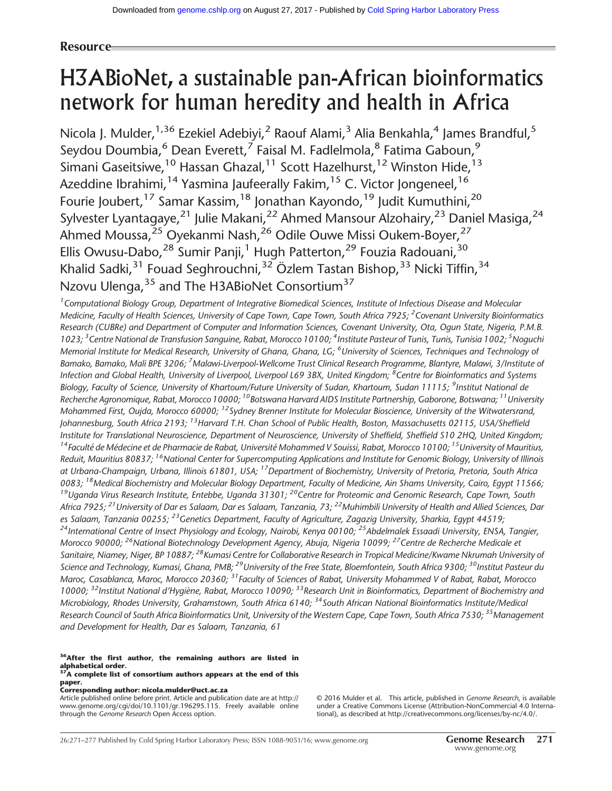# Resource

# H3ABioNet, a sustainable pan-African bioinformatics network for human heredity and health in Africa

Nicola J. Mulder,<sup>1,36</sup> Ezekiel Adebiyi,<sup>2</sup> Raouf Alami,<sup>3</sup> Alia Benkahla,<sup>4</sup> James Brandful,<sup>5</sup> Seydou Doumbia,<sup>6</sup> Dean Everett,<sup>7</sup> Faisal M. Fadlelmola,<sup>8</sup> Fatima Gaboun,<sup>9</sup> Simani Gaseitsiwe,<sup>10</sup> Hassan Ghazal,<sup>11</sup> Scott Hazelhurst,<sup>12</sup> Winston Hide,<sup>13</sup> Azeddine Ibrahimi,  $14$  Yasmina Jaufeerally Fakim,  $15$  C. Victor Jongeneel,  $16$ Fourie Joubert,<sup>17</sup> Samar Kassim,<sup>18</sup> Jonathan Kayondo,<sup>19</sup> Judit Kumuthini,<sup>20</sup> Sylvester Lyantagaye,<sup>21</sup> Julie Makani,<sup>22</sup> Ahmed Mansour Alzohairy,<sup>23</sup> Daniel Masiga,<sup>24</sup> Ahmed Moussa,<sup>25</sup> Oyekanmi Nash,<sup>26</sup> Odile Ouwe Missi Oukem-Boyer,<sup>27</sup> Ellis Owusu-Dabo,  $^{28}$  Sumir Panji, <sup>1</sup> Hugh Patterton, <sup>29</sup> Fouzia Radouani, <sup>30</sup> Khalid Sadki, $31$  Fouad Seghrouchni,  $32$  Özlem Tastan Bishop,  $33$  Nicki Tiffin,  $34$ Nzovu Ulenga, <sup>35</sup> and The H3ABioNet Consortium<sup>37</sup>

<sup>1</sup> Computational Biology Group, Department of Integrative Biomedical Sciences, Institute of Infectious Disease and Molecular Medicine, Faculty of Health Sciences, University of Cape Town, Cape Town, South Africa 7925; <sup>2</sup>Covenant University Bioinformatics Research (CUBRe) and Department of Computer and Information Sciences, Covenant University, Ota, Ogun State, Nigeria, P.M.B. 1023; <sup>3</sup> Centre National de Transfusion Sanguine, Rabat, Morocco 10100; <sup>4</sup>Institute Pasteur of Tunis, Tunis, Tunisia 1002; <sup>5</sup> Noguchi Memorial Institute for Medical Research, University of Ghana, Ghana, LG; <sup>6</sup>University of Sciences, Techniques and Technology of Bamako, Bamako, Mali BPE 3206; <sup>7</sup>Malawi-Liverpool-Wellcome Trust Clinical Research Programme, Blantyre, Malawi, 3/Institute of Infection and Global Health, University of Liverpool, Liverpool L69 3BX, United Kingdom; <sup>8</sup>Centre for Bioinformatics and Systems Biology, Faculty of Science, University of Khartoum/Future University of Sudan, Khartoum, Sudan 11115; <sup>9</sup>Institut National de Recherche Agronomique, Rabat, Morocco 10000; <sup>10</sup>Botswana Harvard AIDS Institute Partnership, Gaborone, Botswana; <sup>11</sup>University Mohammed First, Oujda, Morocco 60000;  $12$ Sydney Brenner Institute for Molecular Bioscience, University of the Witwatersrand, Johannesburg, South Africa 2193; <sup>13</sup> Harvard T.H. Chan School of Public Health, Boston, Massachusetts 02115, USA/Sheffield Institute for Translational Neuroscience, Department of Neuroscience, University of Sheffield, Sheffield S10 2HQ, United Kingdom; <sup>14</sup> Faculté de Médecine et de Pharmacie de Rabat, Université Mohammed V Souissi, Rabat, Morocco 10100; <sup>15</sup>University of Mauritius, Reduit, Mauritius 80837; <sup>16</sup>National Center for Supercomputing Applications and Institute for Genomic Biology, University of Illinois at Urbana-Champaign, Urbana, Illinois 61801, USA; <sup>17</sup>Department of Biochemistry, University of Pretoria, Pretoria, South Africa 0083; <sup>18</sup>Medical Biochemistry and Molecular Biology Department, Faculty of Medicine, Ain Shams University, Cairo, Egypt 11566; <sup>19</sup>Uganda Virus Research Institute, Entebbe, Uganda 31301; <sup>20</sup>Centre for Proteomic and Genomic Research, Cape Town, South Africa 7925;<sup>21</sup> University of Dar es Salaam, Dar es Salaam, Tanzania, 73;<sup>22</sup> Muhimbili University of Health and Allied Sciences, Dar es Salaam, Tanzania 00255; <sup>23</sup>Genetics Department, Faculty of Agriculture, Zagazig University, Sharkia, Egypt 44519;  $^{24}$ International Centre of Insect Physiology and Ecology, Nairobi, Kenya 00100;  $^{25}$ Abdelmalek Essaadi University, ENSA, Tangier, Morocco 90000; <sup>26</sup>National Biotechnology Development Agency, Abuja, Nigeria 10099; <sup>27</sup>Centre de Recherche Medicale et Sanitaire, Niamey, Niger, BP 10887;<sup>28</sup>Kumasi Centre for Collaborative Research in Tropical Medicine/Kwame Nkrumah University of Science and Technology, Kumasi, Ghana, PMB; <sup>29</sup>University of the Free State, Bloemfontein, South Africa 9300; <sup>30</sup>Institut Pasteur du Maroc, Casablanca, Maroc, Morocco 20360; <sup>31</sup> Faculty of Sciences of Rabat, University Mohammed V of Rabat, Rabat, Morocco 10000; <sup>32</sup>Institut National d'Hygiène, Rabat, Morocco 10090; <sup>33</sup>Research Unit in Bioinformatics, Department of Biochemistry and Microbiology, Rhodes University, Grahamstown, South Africa 6140; <sup>34</sup>South African National Bioinformatics Institute/Medical Research Council of South Africa Bioinformatics Unit, University of the Western Cape, Cape Town, South Africa 7530; <sup>35</sup> Management and Development for Health, Dar es Salaam, Tanzania, 61

<sup>36</sup>After the first author, the remaining authors are listed in alphabetical order.<br><sup>37</sup>A complete list of consortium authors appears at the end of this

#### paper. Corresponding author: [nicola.mulder@uct.ac.za](mailto:nicola.mulder@uct.ac.za)

Article published online before print. Article and publication date are at [http://](http://www.genome.org/cgi/doi/10.1101/gr.196295.115) [www.genome.org/cgi/doi/10.1101/gr.196295.115.](http://www.genome.org/cgi/doi/10.1101/gr.196295.115) Freely available online through the Genome Research Open Access option.

[© 2016 Mulder et al.](http://genome.cshlp.org/site/misc/terms.xhtml) This article, published in Genome Research, is available under a Creative Commons License (Attribution-NonCommercial 4.0 International), as described at [http://creativecommons.org/licenses/by-nc/4.0/.](http://creativecommons.org/licenses/by-nc/4.0/)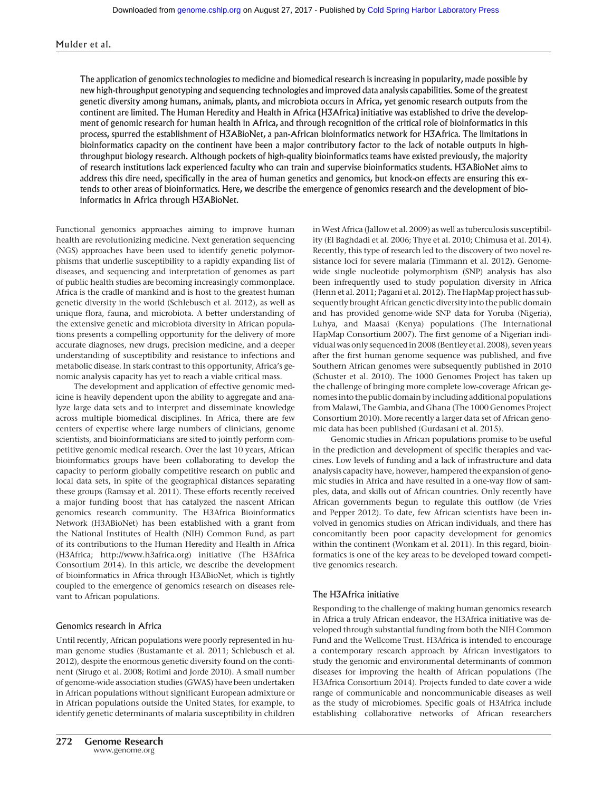#### Mulder et al.

The application of genomics technologies to medicine and biomedical research is increasing in popularity, made possible by new high-throughput genotyping and sequencing technologies and improved data analysis capabilities. Some of the greatest genetic diversity among humans, animals, plants, and microbiota occurs in Africa, yet genomic research outputs from the continent are limited. The Human Heredity and Health in Africa (H3Africa) initiative was established to drive the development of genomic research for human health in Africa, and through recognition of the critical role of bioinformatics in this process, spurred the establishment of H3ABioNet, a pan-African bioinformatics network for H3Africa. The limitations in bioinformatics capacity on the continent have been a major contributory factor to the lack of notable outputs in highthroughput biology research. Although pockets of high-quality bioinformatics teams have existed previously, the majority of research institutions lack experienced faculty who can train and supervise bioinformatics students. H3ABioNet aims to address this dire need, specifically in the area of human genetics and genomics, but knock-on effects are ensuring this extends to other areas of bioinformatics. Here, we describe the emergence of genomics research and the development of bioinformatics in Africa through H3ABioNet.

Functional genomics approaches aiming to improve human health are revolutionizing medicine. Next generation sequencing (NGS) approaches have been used to identify genetic polymorphisms that underlie susceptibility to a rapidly expanding list of diseases, and sequencing and interpretation of genomes as part of public health studies are becoming increasingly commonplace. Africa is the cradle of mankind and is host to the greatest human genetic diversity in the world (Schlebusch et al. 2012), as well as unique flora, fauna, and microbiota. A better understanding of the extensive genetic and microbiota diversity in African populations presents a compelling opportunity for the delivery of more accurate diagnoses, new drugs, precision medicine, and a deeper understanding of susceptibility and resistance to infections and metabolic disease. In stark contrast to this opportunity, Africa's genomic analysis capacity has yet to reach a viable critical mass.

The development and application of effective genomic medicine is heavily dependent upon the ability to aggregate and analyze large data sets and to interpret and disseminate knowledge across multiple biomedical disciplines. In Africa, there are few centers of expertise where large numbers of clinicians, genome scientists, and bioinformaticians are sited to jointly perform competitive genomic medical research. Over the last 10 years, African bioinformatics groups have been collaborating to develop the capacity to perform globally competitive research on public and local data sets, in spite of the geographical distances separating these groups (Ramsay et al. 2011). These efforts recently received a major funding boost that has catalyzed the nascent African genomics research community. The H3Africa Bioinformatics Network (H3ABioNet) has been established with a grant from the National Institutes of Health (NIH) Common Fund, as part of its contributions to the Human Heredity and Health in Africa (H3Africa; [http://www.h3africa.org\)](http://www.h3africa.org) initiative (The H3Africa Consortium 2014). In this article, we describe the development of bioinformatics in Africa through H3ABioNet, which is tightly coupled to the emergence of genomics research on diseases relevant to African populations.

#### Genomics research in Africa

Until recently, African populations were poorly represented in human genome studies (Bustamante et al. 2011; Schlebusch et al. 2012), despite the enormous genetic diversity found on the continent (Sirugo et al. 2008; Rotimi and Jorde 2010). A small number of genome-wide association studies (GWAS) have been undertaken in African populations without significant European admixture or in African populations outside the United States, for example, to identify genetic determinants of malaria susceptibility in children in West Africa (Jallow et al. 2009) as well as tuberculosis susceptibility (El Baghdadi et al. 2006; Thye et al. 2010; Chimusa et al. 2014). Recently, this type of research led to the discovery of two novel resistance loci for severe malaria (Timmann et al. 2012). Genomewide single nucleotide polymorphism (SNP) analysis has also been infrequently used to study population diversity in Africa (Henn et al. 2011; Pagani et al. 2012). The HapMap project has subsequently brought African genetic diversity into the public domain and has provided genome-wide SNP data for Yoruba (Nigeria), Luhya, and Maasai (Kenya) populations (The International HapMap Consortium 2007). The first genome of a Nigerian individual was only sequenced in 2008 (Bentley et al. 2008), seven years after the first human genome sequence was published, and five Southern African genomes were subsequently published in 2010 (Schuster et al. 2010). The 1000 Genomes Project has taken up the challenge of bringing more complete low-coverage African genomes into the public domain by including additional populations from Malawi, The Gambia, and Ghana (The 1000 Genomes Project Consortium 2010). More recently a larger data set of African genomic data has been published (Gurdasani et al. 2015).

Genomic studies in African populations promise to be useful in the prediction and development of specific therapies and vaccines. Low levels of funding and a lack of infrastructure and data analysis capacity have, however, hampered the expansion of genomic studies in Africa and have resulted in a one-way flow of samples, data, and skills out of African countries. Only recently have African governments begun to regulate this outflow (de Vries and Pepper 2012). To date, few African scientists have been involved in genomics studies on African individuals, and there has concomitantly been poor capacity development for genomics within the continent (Wonkam et al. 2011). In this regard, bioinformatics is one of the key areas to be developed toward competitive genomics research.

#### The H3Africa initiative

Responding to the challenge of making human genomics research in Africa a truly African endeavor, the H3Africa initiative was developed through substantial funding from both the NIH Common Fund and the Wellcome Trust. H3Africa is intended to encourage a contemporary research approach by African investigators to study the genomic and environmental determinants of common diseases for improving the health of African populations (The H3Africa Consortium 2014). Projects funded to date cover a wide range of communicable and noncommunicable diseases as well as the study of microbiomes. Specific goals of H3Africa include establishing collaborative networks of African researchers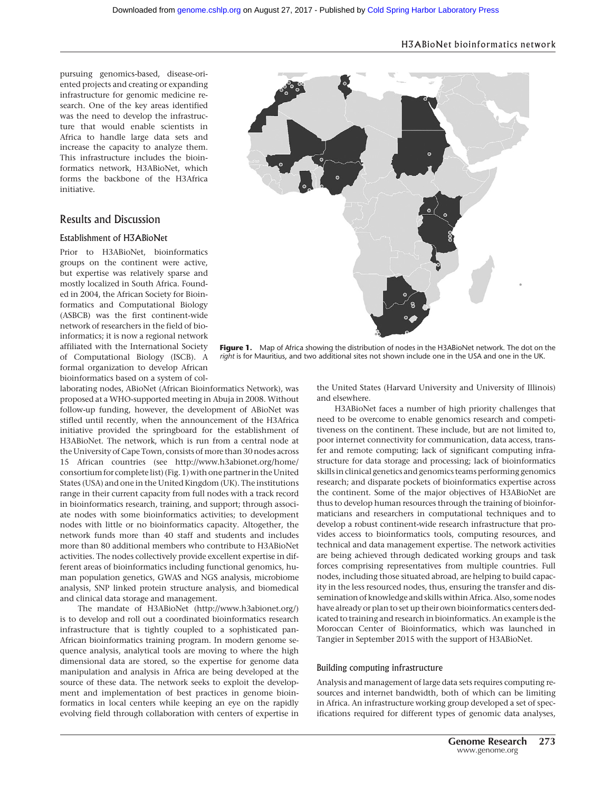# H3ABioNet bioinformatics network

pursuing genomics-based, disease-oriented projects and creating or expanding infrastructure for genomic medicine research. One of the key areas identified was the need to develop the infrastructure that would enable scientists in Africa to handle large data sets and increase the capacity to analyze them. This infrastructure includes the bioinformatics network, H3ABioNet, which forms the backbone of the H3Africa initiative.

# Results and Discussion

#### Establishment of H3ABioNet

Prior to H3ABioNet, bioinformatics groups on the continent were active, but expertise was relatively sparse and mostly localized in South Africa. Founded in 2004, the African Society for Bioinformatics and Computational Biology (ASBCB) was the first continent-wide network of researchers in the field of bioinformatics; it is now a regional network affiliated with the International Society of Computational Biology (ISCB). A formal organization to develop African bioinformatics based on a system of col-

laborating nodes, ABioNet (African Bioinformatics Network), was proposed at a WHO-supported meeting in Abuja in 2008. Without follow-up funding, however, the development of ABioNet was stifled until recently, when the announcement of the H3Africa initiative provided the springboard for the establishment of H3ABioNet. The network, which is run from a central node at the University of Cape Town, consists of more than 30 nodes across 15 African countries (see [http://www.h3abionet.org/home/](http://www.h3abionet.org/home/consortium) [consortium](http://www.h3abionet.org/home/consortium) for complete list) (Fig. 1) with one partner in the United States (USA) and one in the United Kingdom (UK). The institutions range in their current capacity from full nodes with a track record in bioinformatics research, training, and support; through associate nodes with some bioinformatics activities; to development nodes with little or no bioinformatics capacity. Altogether, the network funds more than 40 staff and students and includes more than 80 additional members who contribute to H3ABioNet activities. The nodes collectively provide excellent expertise in different areas of bioinformatics including functional genomics, human population genetics, GWAS and NGS analysis, microbiome analysis, SNP linked protein structure analysis, and biomedical and clinical data storage and management.

The mandate of H3ABioNet (<http://www.h3abionet.org/>) is to develop and roll out a coordinated bioinformatics research infrastructure that is tightly coupled to a sophisticated pan-African bioinformatics training program. In modern genome sequence analysis, analytical tools are moving to where the high dimensional data are stored, so the expertise for genome data manipulation and analysis in Africa are being developed at the source of these data. The network seeks to exploit the development and implementation of best practices in genome bioinformatics in local centers while keeping an eye on the rapidly evolving field through collaboration with centers of expertise in



Figure 1. Map of Africa showing the distribution of nodes in the H3ABioNet network. The dot on the right is for Mauritius, and two additional sites not shown include one in the USA and one in the UK.

the United States (Harvard University and University of Illinois) and elsewhere.

H3ABioNet faces a number of high priority challenges that need to be overcome to enable genomics research and competitiveness on the continent. These include, but are not limited to, poor internet connectivity for communication, data access, transfer and remote computing; lack of significant computing infrastructure for data storage and processing; lack of bioinformatics skills in clinical genetics and genomics teams performing genomics research; and disparate pockets of bioinformatics expertise across the continent. Some of the major objectives of H3ABioNet are thus to develop human resources through the training of bioinformaticians and researchers in computational techniques and to develop a robust continent-wide research infrastructure that provides access to bioinformatics tools, computing resources, and technical and data management expertise. The network activities are being achieved through dedicated working groups and task forces comprising representatives from multiple countries. Full nodes, including those situated abroad, are helping to build capacity in the less resourced nodes, thus, ensuring the transfer and dissemination of knowledge and skills within Africa. Also, some nodes have already or plan to set up their own bioinformatics centers dedicated to training and research in bioinformatics. An example is the Moroccan Center of Bioinformatics, which was launched in Tangier in September 2015 with the support of H3ABioNet.

#### Building computing infrastructure

Analysis and management of large data sets requires computing resources and internet bandwidth, both of which can be limiting in Africa. An infrastructure working group developed a set of specifications required for different types of genomic data analyses,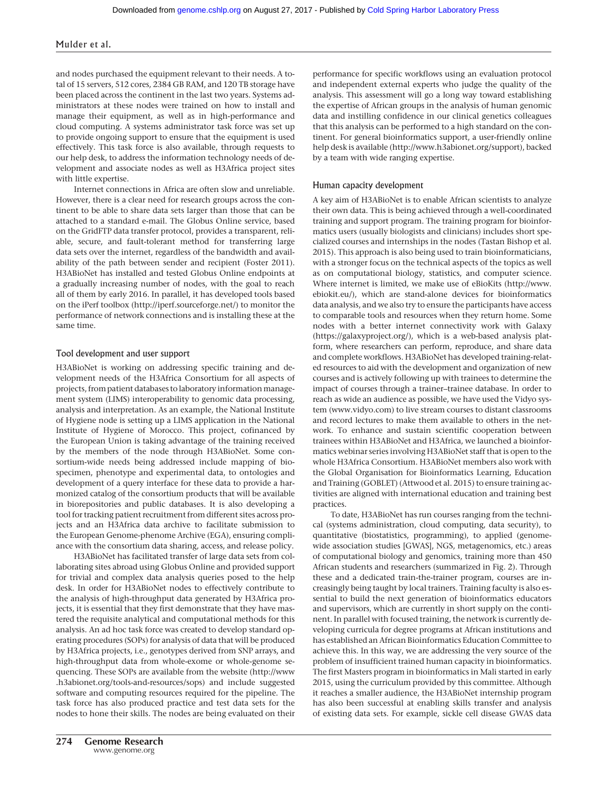#### Mulder et al.

and nodes purchased the equipment relevant to their needs. A total of 15 servers, 512 cores, 2384 GB RAM, and 120 TB storage have been placed across the continent in the last two years. Systems administrators at these nodes were trained on how to install and manage their equipment, as well as in high-performance and cloud computing. A systems administrator task force was set up to provide ongoing support to ensure that the equipment is used effectively. This task force is also available, through requests to our help desk, to address the information technology needs of development and associate nodes as well as H3Africa project sites with little expertise.

Internet connections in Africa are often slow and unreliable. However, there is a clear need for research groups across the continent to be able to share data sets larger than those that can be attached to a standard e-mail. The Globus Online service, based on the GridFTP data transfer protocol, provides a transparent, reliable, secure, and fault-tolerant method for transferring large data sets over the internet, regardless of the bandwidth and availability of the path between sender and recipient (Foster 2011). H3ABioNet has installed and tested Globus Online endpoints at a gradually increasing number of nodes, with the goal to reach all of them by early 2016. In parallel, it has developed tools based on the iPerf toolbox [\(http://iperf.sourceforge.net/\)](http://iperf.sourceforge.net/) to monitor the performance of network connections and is installing these at the same time.

#### Tool development and user support

H3ABioNet is working on addressing specific training and development needs of the H3Africa Consortium for all aspects of projects, from patient databases to laboratory information management system (LIMS) interoperability to genomic data processing, analysis and interpretation. As an example, the National Institute of Hygiene node is setting up a LIMS application in the National Institute of Hygiene of Morocco. This project, cofinanced by the European Union is taking advantage of the training received by the members of the node through H3ABioNet. Some consortium-wide needs being addressed include mapping of biospecimen, phenotype and experimental data, to ontologies and development of a query interface for these data to provide a harmonized catalog of the consortium products that will be available in biorepositories and public databases. It is also developing a tool for tracking patient recruitment from different sites across projects and an H3Africa data archive to facilitate submission to the European Genome-phenome Archive (EGA), ensuring compliance with the consortium data sharing, access, and release policy.

H3ABioNet has facilitated transfer of large data sets from collaborating sites abroad using Globus Online and provided support for trivial and complex data analysis queries posed to the help desk. In order for H3ABioNet nodes to effectively contribute to the analysis of high-throughput data generated by H3Africa projects, it is essential that they first demonstrate that they have mastered the requisite analytical and computational methods for this analysis. An ad hoc task force was created to develop standard operating procedures (SOPs) for analysis of data that will be produced by H3Africa projects, i.e., genotypes derived from SNP arrays, and high-throughput data from whole-exome or whole-genome sequencing. These SOPs are available from the website ([http://www](http://www.h3abionet.org/tools-and-resources/sops) [.h3abionet.org/tools-and-resources/sops](http://www.h3abionet.org/tools-and-resources/sops)) and include suggested software and computing resources required for the pipeline. The task force has also produced practice and test data sets for the nodes to hone their skills. The nodes are being evaluated on their performance for specific workflows using an evaluation protocol and independent external experts who judge the quality of the analysis. This assessment will go a long way toward establishing the expertise of African groups in the analysis of human genomic data and instilling confidence in our clinical genetics colleagues that this analysis can be performed to a high standard on the continent. For general bioinformatics support, a user-friendly online help desk is available (<http://www.h3abionet.org/support>), backed by a team with wide ranging expertise.

#### Human capacity development

A key aim of H3ABioNet is to enable African scientists to analyze their own data. This is being achieved through a well-coordinated training and support program. The training program for bioinformatics users (usually biologists and clinicians) includes short specialized courses and internships in the nodes (Tastan Bishop et al. 2015). This approach is also being used to train bioinformaticians, with a stronger focus on the technical aspects of the topics as well as on computational biology, statistics, and computer science. Where internet is limited, we make use of eBioKits [\(http://www.](http://www.ebiokit.eu/) [ebiokit.eu/](http://www.ebiokit.eu/)), which are stand-alone devices for bioinformatics data analysis, and we also try to ensure the participants have access to comparable tools and resources when they return home. Some nodes with a better internet connectivity work with Galaxy ([https://galaxyproject.org/\)](https://galaxyproject.org/), which is a web-based analysis platform, where researchers can perform, reproduce, and share data and complete workflows. H3ABioNet has developed training-related resources to aid with the development and organization of new courses and is actively following up with trainees to determine the impact of courses through a trainer–trainee database. In order to reach as wide an audience as possible, we have used the Vidyo system ([www.vidyo.com\)](http://www.vidyo.com) to live stream courses to distant classrooms and record lectures to make them available to others in the network. To enhance and sustain scientific cooperation between trainees within H3ABioNet and H3Africa, we launched a bioinformatics webinar series involving H3ABioNet staff that is open to the whole H3Africa Consortium. H3ABioNet members also work with the Global Organisation for Bioinformatics Learning, Education and Training (GOBLET) (Attwood et al. 2015) to ensure training activities are aligned with international education and training best practices.

To date, H3ABioNet has run courses ranging from the technical (systems administration, cloud computing, data security), to quantitative (biostatistics, programming), to applied (genomewide association studies [GWAS], NGS, metagenomics, etc.) areas of computational biology and genomics, training more than 450 African students and researchers (summarized in Fig. 2). Through these and a dedicated train-the-trainer program, courses are increasingly being taught by local trainers. Training faculty is also essential to build the next generation of bioinformatics educators and supervisors, which are currently in short supply on the continent. In parallel with focused training, the network is currently developing curricula for degree programs at African institutions and has established an African Bioinformatics Education Committee to achieve this. In this way, we are addressing the very source of the problem of insufficient trained human capacity in bioinformatics. The first Masters program in bioinformatics in Mali started in early 2015, using the curriculum provided by this committee. Although it reaches a smaller audience, the H3ABioNet internship program has also been successful at enabling skills transfer and analysis of existing data sets. For example, sickle cell disease GWAS data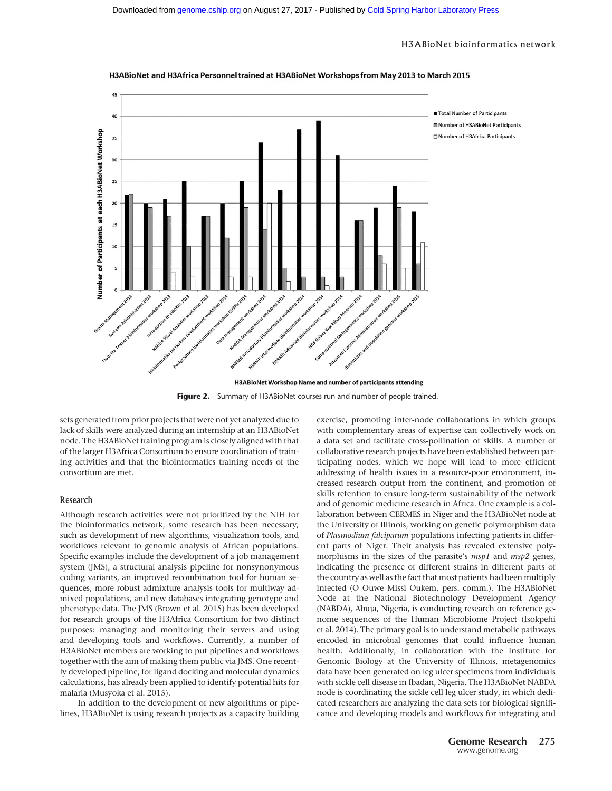#### H3ABioNet bioinformatics network



H3ABioNet and H3Africa Personnel trained at H3ABioNet Workshops from May 2013 to March 2015

Figure 2. Summary of H3ABioNet courses run and number of people trained.

sets generated from prior projects that were not yet analyzed due to lack of skills were analyzed during an internship at an H3ABioNet node. The H3ABioNet training program is closely aligned with that of the larger H3Africa Consortium to ensure coordination of training activities and that the bioinformatics training needs of the consortium are met.

#### Research

Although research activities were not prioritized by the NIH for the bioinformatics network, some research has been necessary, such as development of new algorithms, visualization tools, and workflows relevant to genomic analysis of African populations. Specific examples include the development of a job management system (JMS), a structural analysis pipeline for nonsynonymous coding variants, an improved recombination tool for human sequences, more robust admixture analysis tools for multiway admixed populations, and new databases integrating genotype and phenotype data. The JMS (Brown et al. 2015) has been developed for research groups of the H3Africa Consortium for two distinct purposes: managing and monitoring their servers and using and developing tools and workflows. Currently, a number of H3ABioNet members are working to put pipelines and workflows together with the aim of making them public via JMS. One recently developed pipeline, for ligand docking and molecular dynamics calculations, has already been applied to identify potential hits for malaria (Musyoka et al. 2015).

In addition to the development of new algorithms or pipelines, H3ABioNet is using research projects as a capacity building exercise, promoting inter-node collaborations in which groups with complementary areas of expertise can collectively work on a data set and facilitate cross-pollination of skills. A number of collaborative research projects have been established between participating nodes, which we hope will lead to more efficient addressing of health issues in a resource-poor environment, increased research output from the continent, and promotion of skills retention to ensure long-term sustainability of the network and of genomic medicine research in Africa. One example is a collaboration between CERMES in Niger and the H3ABioNet node at the University of Illinois, working on genetic polymorphism data of Plasmodium falciparum populations infecting patients in different parts of Niger. Their analysis has revealed extensive polymorphisms in the sizes of the parasite's *msp1* and *msp2* genes, indicating the presence of different strains in different parts of the country as well as the fact that most patients had been multiply infected (O Ouwe Missi Oukem, pers. comm.). The H3ABioNet Node at the National Biotechnology Development Agency (NABDA), Abuja, Nigeria, is conducting research on reference genome sequences of the Human Microbiome Project (Isokpehi et al. 2014). The primary goal is to understand metabolic pathways encoded in microbial genomes that could influence human health. Additionally, in collaboration with the Institute for Genomic Biology at the University of Illinois, metagenomics data have been generated on leg ulcer specimens from individuals with sickle cell disease in Ibadan, Nigeria. The H3ABioNet NABDA node is coordinating the sickle cell leg ulcer study, in which dedicated researchers are analyzing the data sets for biological significance and developing models and workflows for integrating and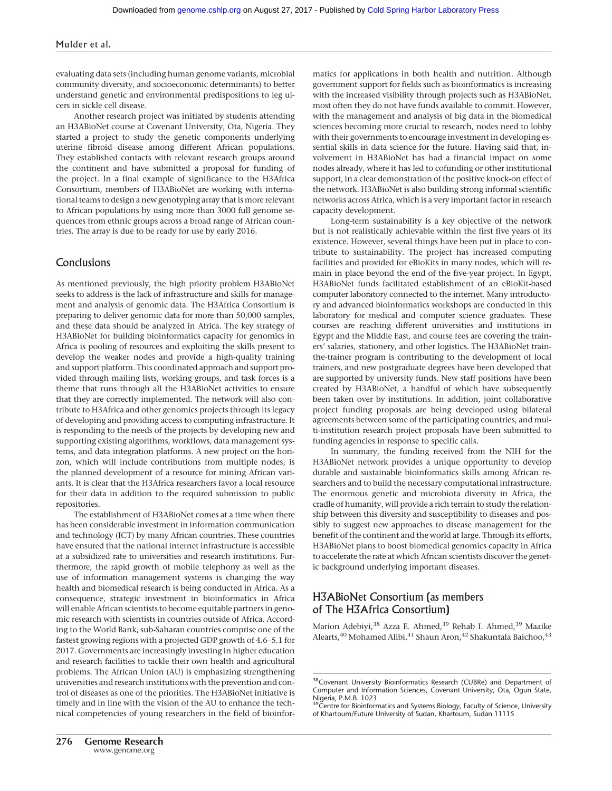#### Mulder et al.

evaluating data sets (including human genome variants, microbial community diversity, and socioeconomic determinants) to better understand genetic and environmental predispositions to leg ulcers in sickle cell disease.

Another research project was initiated by students attending an H3ABioNet course at Covenant University, Ota, Nigeria. They started a project to study the genetic components underlying uterine fibroid disease among different African populations. They established contacts with relevant research groups around the continent and have submitted a proposal for funding of the project. In a final example of significance to the H3Africa Consortium, members of H3ABioNet are working with international teams to design a new genotyping array that is more relevant to African populations by using more than 3000 full genome sequences from ethnic groups across a broad range of African countries. The array is due to be ready for use by early 2016.

# Conclusions

As mentioned previously, the high priority problem H3ABioNet seeks to address is the lack of infrastructure and skills for management and analysis of genomic data. The H3Africa Consortium is preparing to deliver genomic data for more than 50,000 samples, and these data should be analyzed in Africa. The key strategy of H3ABioNet for building bioinformatics capacity for genomics in Africa is pooling of resources and exploiting the skills present to develop the weaker nodes and provide a high-quality training and support platform. This coordinated approach and support provided through mailing lists, working groups, and task forces is a theme that runs through all the H3ABioNet activities to ensure that they are correctly implemented. The network will also contribute to H3Africa and other genomics projects through its legacy of developing and providing access to computing infrastructure. It is responding to the needs of the projects by developing new and supporting existing algorithms, workflows, data management systems, and data integration platforms. A new project on the horizon, which will include contributions from multiple nodes, is the planned development of a resource for mining African variants. It is clear that the H3Africa researchers favor a local resource for their data in addition to the required submission to public repositories.

The establishment of H3ABioNet comes at a time when there has been considerable investment in information communication and technology (ICT) by many African countries. These countries have ensured that the national internet infrastructure is accessible at a subsidized rate to universities and research institutions. Furthermore, the rapid growth of mobile telephony as well as the use of information management systems is changing the way health and biomedical research is being conducted in Africa. As a consequence, strategic investment in bioinformatics in Africa will enable African scientists to become equitable partners in genomic research with scientists in countries outside of Africa. According to the World Bank, sub-Saharan countries comprise one of the fastest growing regions with a projected GDP growth of 4.6–5.1 for 2017. Governments are increasingly investing in higher education and research facilities to tackle their own health and agricultural problems. The African Union (AU) is emphasizing strengthening universities and research institutions with the prevention and control of diseases as one of the priorities. The H3ABioNet initiative is timely and in line with the vision of the AU to enhance the technical competencies of young researchers in the field of bioinformatics for applications in both health and nutrition. Although government support for fields such as bioinformatics is increasing with the increased visibility through projects such as H3ABioNet, most often they do not have funds available to commit. However, with the management and analysis of big data in the biomedical sciences becoming more crucial to research, nodes need to lobby with their governments to encourage investment in developing essential skills in data science for the future. Having said that, involvement in H3ABioNet has had a financial impact on some nodes already, where it has led to cofunding or other institutional support, in a clear demonstration of the positive knock-on effect of the network. H3ABioNet is also building strong informal scientific networks across Africa, which is a very important factor in research capacity development.

Long-term sustainability is a key objective of the network but is not realistically achievable within the first five years of its existence. However, several things have been put in place to contribute to sustainability. The project has increased computing facilities and provided for eBioKits in many nodes, which will remain in place beyond the end of the five-year project. In Egypt, H3ABioNet funds facilitated establishment of an eBioKit-based computer laboratory connected to the internet. Many introductory and advanced bioinformatics workshops are conducted in this laboratory for medical and computer science graduates. These courses are reaching different universities and institutions in Egypt and the Middle East, and course fees are covering the trainers' salaries, stationery, and other logistics. The H3ABioNet trainthe-trainer program is contributing to the development of local trainers, and new postgraduate degrees have been developed that are supported by university funds. New staff positions have been created by H3ABioNet, a handful of which have subsequently been taken over by institutions. In addition, joint collaborative project funding proposals are being developed using bilateral agreements between some of the participating countries, and multi-institution research project proposals have been submitted to funding agencies in response to specific calls.

In summary, the funding received from the NIH for the H3ABioNet network provides a unique opportunity to develop durable and sustainable bioinformatics skills among African researchers and to build the necessary computational infrastructure. The enormous genetic and microbiota diversity in Africa, the cradle of humanity, will provide a rich terrain to study the relationship between this diversity and susceptibility to diseases and possibly to suggest new approaches to disease management for the benefit of the continent and the world at large. Through its efforts, H3ABioNet plans to boost biomedical genomics capacity in Africa to accelerate the rate at which African scientists discover the genetic background underlying important diseases.

# H3ABioNet Consortium (as members of The H3Africa Consortium)

Marion Adebiyi,<sup>38</sup> Azza E. Ahmed,<sup>39</sup> Rehab I. Ahmed,<sup>39</sup> Maaike Alearts,<sup>40</sup> Mohamed Alibi,<sup>41</sup> Shaun Aron,<sup>42</sup> Shakuntala Baichoo,<sup>43</sup>

<sup>&</sup>lt;sup>38</sup>Covenant University Bioinformatics Research (CUBRe) and Department of Computer and Information Sciences, Covenant University, Ota, Ogun State,

Nigeria, P.M.B. 1023<br><sup>39</sup>Centre for Bioinformatics and Systems Biology, Faculty of Science, University of Khartoum/Future University of Sudan, Khartoum, Sudan 11115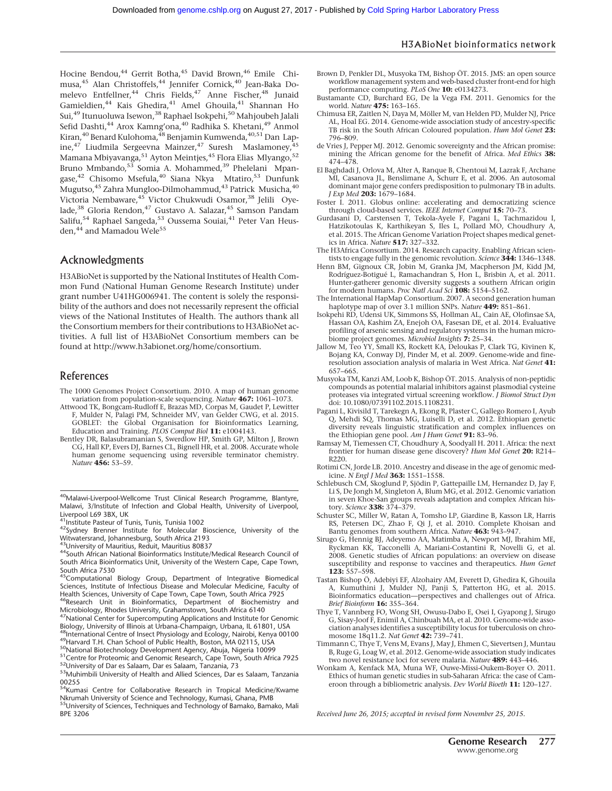Hocine Bendou,<sup>44</sup> Gerrit Botha,<sup>45</sup> David Brown,<sup>46</sup> Emile Chimusa,<sup>45</sup> Alan Christoffels,<sup>44</sup> Jennifer Cornick,<sup>40</sup> Jean-Baka Domelevo Entfellner,<sup>44</sup> Chris Fields,<sup>47</sup> Anne Fischer,<sup>48</sup> Junaid Gamieldien,44 Kais Ghedira,41 Amel Ghouila,41 Shannan Ho Sui,49 Itunuoluwa Isewon,38 Raphael Isokpehi,50 Mahjoubeh Jalali Sefid Dashti,<sup>44</sup> Arox Kamng'ona,<sup>40</sup> Radhika S. Khetani,<sup>49</sup> Anmol Kiran, $^{40}$ Benard Kulohoma, $^{48}$ Benjamin Kumwenda, $^{40,51}$ Dan Lapine,<sup>47</sup> Liudmila Sergeevna Mainzer,<sup>47</sup> Suresh Maslamoney,<sup>45</sup> Mamana Mbiyavanga,<sup>51</sup> Ayton Meintjes,<sup>45</sup> Flora Elias Mlyango,<sup>52</sup> Bruno Mmbando,<sup>53</sup> Somia A. Mohammed,<sup>39</sup> Phelelani Mpangase,<sup>42</sup> Chisomo Msefula,<sup>40</sup> Siana Nkya Mtatiro,<sup>53</sup> Dunfunk Mugutso,<sup>45</sup> Zahra Mungloo-Dilmohammud,<sup>43</sup> Patrick Musicha,<sup>40</sup> Victoria Nembaware,<sup>45</sup> Victor Chukwudi Osamor,<sup>38</sup> Jelili Oyelade,<sup>38</sup> Gloria Rendon,<sup>47</sup> Gustavo A. Salazar,<sup>45</sup> Samson Pandam Salifu,<sup>54</sup> Raphael Sangeda,<sup>53</sup> Oussema Souiai,<sup>41</sup> Peter Van Heusden,<sup>44</sup> and Mamadou Wele<sup>55</sup>

# Acknowledgments

H3ABioNet is supported by the National Institutes of Health Common Fund (National Human Genome Research Institute) under grant number U41HG006941. The content is solely the responsibility of the authors and does not necessarily represent the official views of the National Institutes of Health. The authors thank all the Consortium members for their contributions to H3ABioNet activities. A full list of H3ABioNet Consortium members can be found at<http://www.h3abionet.org/home/consortium>.

### References

- The 1000 Genomes Project Consortium. 2010. A map of human genome variation from population-scale sequencing. Nature 467: 1061–1073.
- Attwood TK, Bongcam-Rudloff E, Brazas MD, Corpas M, Gaudet P, Lewitter F, Mulder N, Palagi PM, Schneider MV, van Gelder CWG, et al. 2015. GOBLET: the Global Organisation for Bioinformatics Learning, Education and Training. PLOS Comput Biol 11: e1004143.
- Bentley DR, Balasubramanian S, Swerdlow HP, Smith GP, Milton J, Brown CG, Hall KP, Evers DJ, Barnes CL, Bignell HR, et al. 2008. Accurate whole human genome sequencing using reversible terminator chemistry. Nature 456: 53–59.
- 40Malawi-Liverpool-Wellcome Trust Clinical Research Programme, Blantyre, Malawi, 3/Institute of Infection and Global Health, University of Liverpool, Liverpool L69 3BX, UK<br>
<sup>41</sup>Institute Pasteur of Tunis, Tunis, Tunisia 1002
- 

41Institute Pasteur of Tunis, Tunis, Tunisia 1002 42Sydney Brenner Institute for Molecular Bioscience, University of the Witwatersrand, Johannesburg, South Africa 2193<br><sup>43</sup>University of Mauritius, Reduit, Mauritius 80837

- 
- 43University of Mauritius, Reduit, Mauritius 80837 44South African National Bioinformatics Institute/Medical Research Council of South Africa Bioinformatics Unit, University of the Western Cape, Cape Town,
- South Africa 7530 45Computational Biology Group, Department of Integrative Biomedical Sciences, Institute of Infectious Disease and Molecular Medicine, Faculty of Health Sciences, University of Cape Town, Cape Town, South Africa 7925 <sup>6</sup>Research Unit in Bioinformatics, Department of Biochemistry and

Microbiology, Rhodes University, Grahamstown, South Africa 6140

<sup>47</sup>National Center for Supercomputing Applications and Institute for Genomic<br>Biology, University of Illinois at Urbana-Champaign, Urbana, IL 61801, USA

<sup>48</sup>International Centre of Insect Physiology and Ecology, Nairobi, Kenya 00100<br><sup>49</sup>Harvard T.H. Chan School of Public Health, Boston, MA 02115, USA<br><sup>50</sup>National Biotechnology Development Agency, Abuja, Nigeria 10099<br><sup>51</sup>

00255<br><sup>54</sup>Kumasi Centre for Collaborative Research in Tropical Medicine/Kwame

Nkrumah University of Science and Technology, Kumasi, Ghana, PMB<br><sup>55</sup>University of Sciences, Techniques and Technology of Bamako, Bamako, Mali BPE 3206

#### H3ABioNet bioinformatics network

- Brown D, Penkler DL, Musyoka TM, Bishop ÖT. 2015. JMS: an open source workflow management system and web-based cluster front-end for high performance computing. PLoS One 10: e0134273.
- Bustamante CD, Burchard EG, De la Vega FM. 2011. Genomics for the world. Nature 475: 163–165.
- Chimusa ER, Zaitlen N, Daya M, Möller M, van Helden PD, Mulder NJ, Price AL, Hoal EG. 2014. Genome-wide association study of ancestry-specific TB risk in the South African Coloured population. Hum Mol Genet 23: 796–809.
- de Vries J, Pepper MJ. 2012. Genomic sovereignty and the African promise: mining the African genome for the benefit of Africa. Med Ethics 38: 474–478.
- El Baghdadi J, Orlova M, Alter A, Ranque B, Chentoui M, Lazrak F, Archane MI, Casanova JL, Benslimane A, Schurr E, et al. 2006. An autosomal dominant major gene confers predisposition to pulmonary TB in adults. J Exp Med 203: 1679–1684.
- Foster I. 2011. Globus online: accelerating and democratizing science through cloud-based services. IEEE Internet Comput 15: 70-73.
- Gurdasani D, Carstensen T, Tekola-Ayele F, Pagani L, Tachmazidou I, Hatzikotoulas K, Karthikeyan S, Iles L, Pollard MO, Choudhury A, et al. 2015. The African Genome Variation Project shapes medical genetics in Africa. Nature 517: 327–332.
- The H3Africa Consortium. 2014. Research capacity. Enabling African scientists to engage fully in the genomic revolution. Science 344: 1346-1348.
- Henn BM, Gignoux CR, Jobin M, Granka JM, Macpherson JM, Kidd JM, Rodríguez-Botigué L, Ramachandran S, Hon L, Brisbin A, et al. 2011. Hunter-gatherer genomic diversity suggests a southern African origin for modern humans. Proc Natl Acad Sci 108: 5154-5162.
- The International HapMap Consortium. 2007. A second generation human haplotype map of over 3.1 million SNPs. Nature 449: 851-861.
- Isokpehi RD, Udensi UK, Simmons SS, Hollman AL, Cain AE, Olofinsae SA, Hassan OA, Kashim ZA, Enejoh OA, Fasesan DE, et al. 2014. Evaluative profiling of arsenic sensing and regulatory systems in the human microbiome project genomes. Microbiol Insights 7: 25–34.
- Jallow M, Teo YY, Small KS, Rockett KA, Deloukas P, Clark TG, Kivinen K, Bojang KA, Conway DJ, Pinder M, et al. 2009. Genome-wide and fineresolution association analysis of malaria in West Africa. Nat Genet 41: 657–665.
- Musyoka TM, Kanzi AM, Loob K, Bishop ÖT. 2015. Analysis of non-peptidic compounds as potential malarial inhibitors against plasmodial cysteine proteases via integrated virtual screening workflow. J Biomol Struct Dyn doi: 10.1080/07391102.2015.1108231.
- Pagani L, Kivisild T, Tarekegn A, Ekong R, Plaster C, Gallego Romero I, Ayub Q, Mehdi SQ, Thomas MG, Luiselli D, et al. 2012. Ethiopian genetic diversity reveals linguistic stratification and complex influences on the Ethiopian gene pool. Am J Hum Genet  $91: 83-96$ .
- Ramsay M, Tiemessen CT, Choudhury A, Soodyall H. 2011. Africa: the next frontier for human disease gene discovery? Hum Mol Genet 20: R214– R220.
- Rotimi CN, Jorde LB. 2010. Ancestry and disease in the age of genomic medicine. N Engl J Med 363: 1551–1558.
- Schlebusch CM, Skoglund P, Sjödin P, Gattepaille LM, Hernandez D, Jay F, Li S, De Jongh M, Singleton A, Blum MG, et al. 2012. Genomic variation in seven Khoe-San groups reveals adaptation and complex African history. Science 338: 374-379.
- Schuster SC, Miller W, Ratan A, Tomsho LP, Giardine B, Kasson LR, Harris RS, Petersen DC, Zhao F, Qi J, et al. 2010. Complete Khoisan and Bantu genomes from southern Africa. Nature 463: 943–947.
- Sirugo G, Hennig BJ, Adeyemo AA, Matimba A, Newport MJ, Ibrahim ME, Ryckman KK, Tacconelli A, Mariani-Costantini R, Novelli G, et al. 2008. Genetic studies of African populations: an overview on disease susceptibility and response to vaccines and therapeutics. Hum Genet 123: 557–598.
- Tastan Bishop Ö, Adebiyi EF, Alzohairy AM, Everett D, Ghedira K, Ghouila A, Kumuthini J, Mulder NJ, Panji S, Patterton HG, et al. 2015. Bioinformatics education—perspectives and challenges out of Africa. Brief Bioinform **16:** 355–364.
- Thye T, Vannberg FO, Wong SH, Owusu-Dabo E, Osei I, Gyapong J, Sirugo G, Sisay-Joof F, Enimil A, Chinbuah MA, et al. 2010. Genome-wide association analyses identifies a susceptibility locus for tuberculosis on chromosome 18q11.2. Nat Genet **42:** 739-741.
- Timmann C, Thye T, Vens M, Evans J, May J, Ehmen C, Sievertsen J, Muntau B, Ruge G, Loag W, et al. 2012. Genome-wide association study indicates two novel resistance loci for severe malaria. Nature 489: 443–446.
- Wonkam A, Kenfack MA, Muna WF, Ouwe-Missi-Oukem-Boyer O. 2011. Ethics of human genetic studies in sub-Saharan Africa: the case of Cameroon through a bibliometric analysis. Dev World Bioeth 11: 120–127.

Received June 26, 2015; accepted in revised form November 25, 2015.